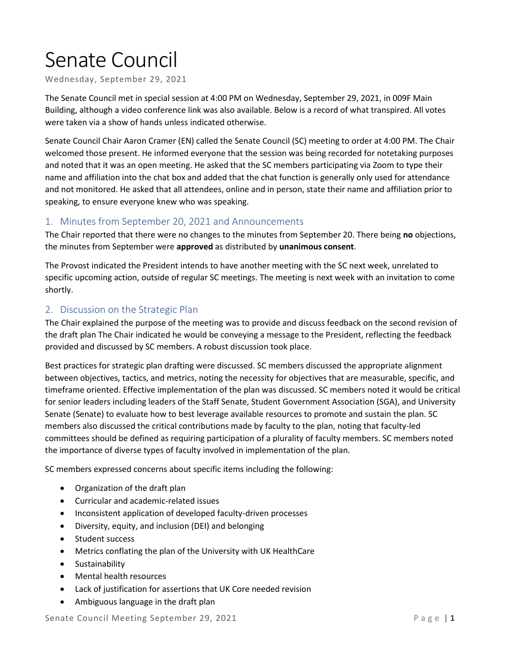## Senate Council

Wednesday, September 29, 2021

The Senate Council met in special session at 4:00 PM on Wednesday, September 29, 2021, in 009F Main Building, although a video conference link was also available. Below is a record of what transpired. All votes were taken via a show of hands unless indicated otherwise.

Senate Council Chair Aaron Cramer (EN) called the Senate Council (SC) meeting to order at 4:00 PM. The Chair welcomed those present. He informed everyone that the session was being recorded for notetaking purposes and noted that it was an open meeting. He asked that the SC members participating via Zoom to type their name and affiliation into the chat box and added that the chat function is generally only used for attendance and not monitored. He asked that all attendees, online and in person, state their name and affiliation prior to speaking, to ensure everyone knew who was speaking.

## 1. Minutes from September 20, 2021 and Announcements

The Chair reported that there were no changes to the minutes from September 20. There being **no** objections, the minutes from September were **approved** as distributed by **unanimous consent**.

The Provost indicated the President intends to have another meeting with the SC next week, unrelated to specific upcoming action, outside of regular SC meetings. The meeting is next week with an invitation to come shortly.

## 2. Discussion on the Strategic Plan

The Chair explained the purpose of the meeting was to provide and discuss feedback on the second revision of the draft plan The Chair indicated he would be conveying a message to the President, reflecting the feedback provided and discussed by SC members. A robust discussion took place.

Best practices for strategic plan drafting were discussed. SC members discussed the appropriate alignment between objectives, tactics, and metrics, noting the necessity for objectives that are measurable, specific, and timeframe oriented. Effective implementation of the plan was discussed. SC members noted it would be critical for senior leaders including leaders of the Staff Senate, Student Government Association (SGA), and University Senate (Senate) to evaluate how to best leverage available resources to promote and sustain the plan. SC members also discussed the critical contributions made by faculty to the plan, noting that faculty-led committees should be defined as requiring participation of a plurality of faculty members. SC members noted the importance of diverse types of faculty involved in implementation of the plan.

SC members expressed concerns about specific items including the following:

- Organization of the draft plan
- Curricular and academic-related issues
- Inconsistent application of developed faculty-driven processes
- Diversity, equity, and inclusion (DEI) and belonging
- Student success
- Metrics conflating the plan of the University with UK HealthCare
- Sustainability
- Mental health resources
- Lack of justification for assertions that UK Core needed revision
- Ambiguous language in the draft plan